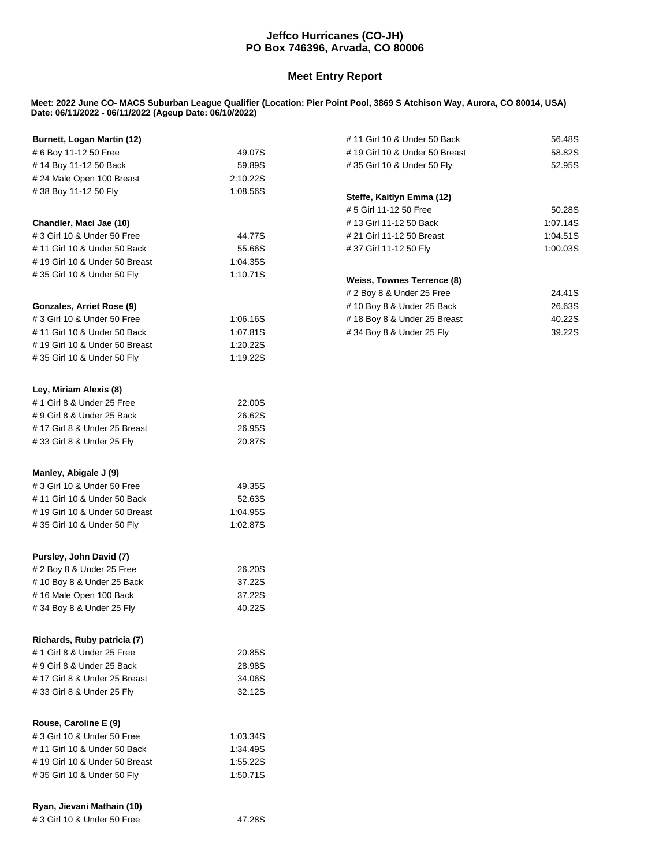## **Jeffco Hurricanes (CO-JH) PO Box 746396, Arvada, CO 80006**

## **Meet Entry Report**

**Meet: 2022 June CO- MACS Suburban League Qualifier (Location: Pier Point Pool, 3869 S Atchison Way, Aurora, CO 80014, USA) Date: 06/11/2022 - 06/11/2022 (Ageup Date: 06/10/2022)**

| Burnett, Logan Martin (12)                              |                                          | # 11 Girl 10 & Under 50 Back         | 56.48S   |  |
|---------------------------------------------------------|------------------------------------------|--------------------------------------|----------|--|
| # 6 Boy 11-12 50 Free                                   | 49.07S<br># 19 Girl 10 & Under 50 Breast |                                      |          |  |
| #14 Boy 11-12 50 Back                                   | 59.89S                                   | 58.82S                               |          |  |
| # 24 Male Open 100 Breast                               | 2:10.22S                                 | 52.95S<br>#35 Girl 10 & Under 50 Fly |          |  |
| #38 Boy 11-12 50 Fly                                    | 1:08.56S                                 |                                      |          |  |
|                                                         |                                          | Steffe, Kaitlyn Emma (12)            |          |  |
|                                                         |                                          | # 5 Girl 11-12 50 Free               | 50.28S   |  |
| Chandler, Maci Jae (10)                                 |                                          | # 13 Girl 11-12 50 Back              | 1:07.14S |  |
| # 3 Girl 10 & Under 50 Free                             | 44.77S                                   | # 21 Girl 11-12 50 Breast            |          |  |
| # 11 Girl 10 & Under 50 Back                            | 55.66S                                   | #37 Girl 11-12 50 Fly<br>1:00.03S    |          |  |
| #19 Girl 10 & Under 50 Breast                           | 1:04.35S                                 |                                      |          |  |
| #35 Girl 10 & Under 50 Fly                              | 1:10.71S                                 | Weiss, Townes Terrence (8)           |          |  |
|                                                         |                                          | # 2 Boy 8 & Under 25 Free            | 24.41S   |  |
| Gonzales, Arriet Rose (9)                               |                                          | # 10 Boy 8 & Under 25 Back           | 26.63S   |  |
| # 3 Girl 10 & Under 50 Free                             | 1:06.16S                                 | #18 Boy 8 & Under 25 Breast          | 40.22S   |  |
| #11 Girl 10 & Under 50 Back                             | 1:07.81S                                 | #34 Boy 8 & Under 25 Fly             | 39.22S   |  |
| # 19 Girl 10 & Under 50 Breast                          | 1:20.22S                                 |                                      |          |  |
| #35 Girl 10 & Under 50 Fly                              | 1:19.22S                                 |                                      |          |  |
|                                                         |                                          |                                      |          |  |
| Ley, Miriam Alexis (8)                                  |                                          |                                      |          |  |
| # 1 Girl 8 & Under 25 Free                              | 22.00S                                   |                                      |          |  |
| # 9 Girl 8 & Under 25 Back                              | 26.62S                                   |                                      |          |  |
| #17 Girl 8 & Under 25 Breast                            | 26.95S                                   |                                      |          |  |
| #33 Girl 8 & Under 25 Fly                               | 20.87S                                   |                                      |          |  |
|                                                         |                                          |                                      |          |  |
| Manley, Abigale J (9)                                   |                                          |                                      |          |  |
| # 3 Girl 10 & Under 50 Free                             | 49.35S                                   |                                      |          |  |
| # 11 Girl 10 & Under 50 Back                            | 52.63S                                   |                                      |          |  |
| #19 Girl 10 & Under 50 Breast                           | 1:04.95S                                 |                                      |          |  |
| #35 Girl 10 & Under 50 Fly                              | 1:02.87S                                 |                                      |          |  |
| Pursley, John David (7)                                 |                                          |                                      |          |  |
|                                                         |                                          |                                      |          |  |
| # 2 Boy 8 & Under 25 Free<br># 10 Boy 8 & Under 25 Back | 26.20S<br>37.22S                         |                                      |          |  |
|                                                         | 37.22S                                   |                                      |          |  |
| #16 Male Open 100 Back                                  | 40.22S                                   |                                      |          |  |
| #34 Boy 8 & Under 25 Fly                                |                                          |                                      |          |  |
| Richards, Ruby patricia (7)                             |                                          |                                      |          |  |
| # 1 Girl 8 & Under 25 Free                              | 20.85S                                   |                                      |          |  |
| # 9 Girl 8 & Under 25 Back                              | 28.98S                                   |                                      |          |  |
| #17 Girl 8 & Under 25 Breast                            | 34.06S                                   |                                      |          |  |
| #33 Girl 8 & Under 25 Fly                               | 32.12S                                   |                                      |          |  |
|                                                         |                                          |                                      |          |  |
| Rouse, Caroline E (9)                                   |                                          |                                      |          |  |
| # 3 Girl 10 & Under 50 Free                             | 1:03.34S                                 |                                      |          |  |
| #11 Girl 10 & Under 50 Back                             | 1:34.49S                                 |                                      |          |  |
| # 19 Girl 10 & Under 50 Breast                          | 1:55.22S                                 |                                      |          |  |
| # 35 Girl 10 & Under 50 Fly                             | 1:50.71S                                 |                                      |          |  |
|                                                         |                                          |                                      |          |  |
| Ryan, Jievani Mathain (10)                              |                                          |                                      |          |  |

# 3 Girl 10 & Under 50 Free 47.28S